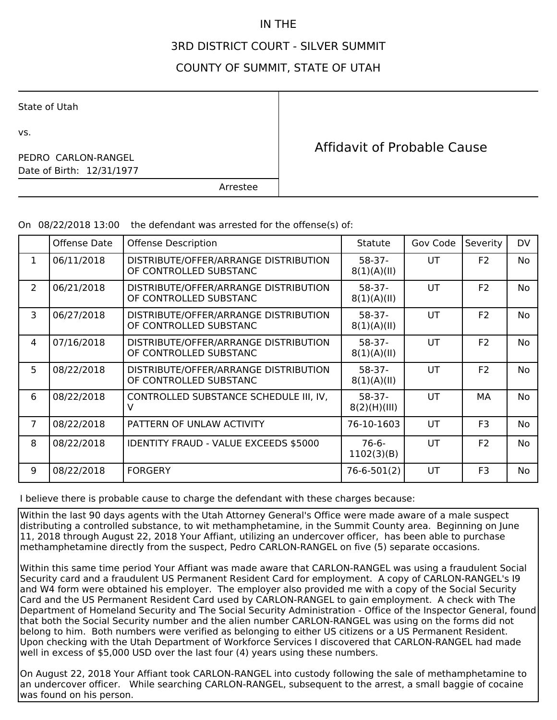## IN THE

## 3RD DISTRICT COURT - SILVER SUMMIT

## COUNTY OF SUMMIT, STATE OF UTAH

State of Utah

vs.

Date of Birth: 12/31/1977 PEDRO CARLON-RANGEL

Affidavit of Probable Cause

Arrestee

On 08/22/2018 13:00 the defendant was arrested for the offense(s) of:

|                | Offense Date | <b>Offense Description</b>                                      | <b>Statute</b>           | Gov Code  | Severity       | <b>DV</b> |
|----------------|--------------|-----------------------------------------------------------------|--------------------------|-----------|----------------|-----------|
| 1              | 06/11/2018   | DISTRIBUTE/OFFER/ARRANGE DISTRIBUTION<br>OF CONTROLLED SUBSTANC | $58-37-$<br>8(1)(A)(II)  | <b>UT</b> | F <sub>2</sub> | No.       |
| 2              | 06/21/2018   | DISTRIBUTE/OFFER/ARRANGE DISTRIBUTION<br>OF CONTROLLED SUBSTANC | $58-37-$<br>8(1)(A)(II)  | <b>UT</b> | F <sub>2</sub> | No.       |
| 3              | 06/27/2018   | DISTRIBUTE/OFFER/ARRANGE DISTRIBUTION<br>OF CONTROLLED SUBSTANC | $58-37-$<br>8(1)(A)(II)  | <b>UT</b> | F <sub>2</sub> | No.       |
| $\overline{4}$ | 07/16/2018   | DISTRIBUTE/OFFER/ARRANGE DISTRIBUTION<br>OF CONTROLLED SUBSTANC | $58-37-$<br>8(1)(A)(II)  | UT        | F <sub>2</sub> | No.       |
| 5              | 08/22/2018   | DISTRIBUTE/OFFER/ARRANGE DISTRIBUTION<br>OF CONTROLLED SUBSTANC | $58-37-$<br>8(1)(A)(II)  | UT        | F <sub>2</sub> | No.       |
| 6              | 08/22/2018   | CONTROLLED SUBSTANCE SCHEDULE III, IV,<br>v                     | $58-37-$<br>8(2)(H)(III) | <b>UT</b> | MА             | No        |
| $\overline{7}$ | 08/22/2018   | PATTERN OF UNLAW ACTIVITY                                       | 76-10-1603               | UT        | F <sub>3</sub> | No.       |
| 8              | 08/22/2018   | <b>IDENTITY FRAUD - VALUE EXCEEDS \$5000</b>                    | $76-6-$<br>1102(3)(B)    | <b>UT</b> | F <sub>2</sub> | No.       |
| 9              | 08/22/2018   | <b>FORGERY</b>                                                  | 76-6-501(2)              | UT        | F <sub>3</sub> | No        |

I believe there is probable cause to charge the defendant with these charges because:

Within the last 90 days agents with the Utah Attorney General's Office were made aware of a male suspect distributing a controlled substance, to wit methamphetamine, in the Summit County area. Beginning on June 11, 2018 through August 22, 2018 Your Affiant, utilizing an undercover officer, has been able to purchase methamphetamine directly from the suspect, Pedro CARLON-RANGEL on five (5) separate occasions.

Within this same time period Your Affiant was made aware that CARLON-RANGEL was using a fraudulent Social Security card and a fraudulent US Permanent Resident Card for employment. A copy of CARLON-RANGEL's I9 and W4 form were obtained his employer. The employer also provided me with a copy of the Social Security Card and the US Permanent Resident Card used by CARLON-RANGEL to gain employment. A check with The Department of Homeland Security and The Social Security Administration - Office of the Inspector General, found that both the Social Security number and the alien number CARLON-RANGEL was using on the forms did not belong to him. Both numbers were verified as belonging to either US citizens or a US Permanent Resident. Upon checking with the Utah Department of Workforce Services I discovered that CARLON-RANGEL had made well in excess of \$5,000 USD over the last four (4) years using these numbers.

On August 22, 2018 Your Affiant took CARLON-RANGEL into custody following the sale of methamphetamine to an undercover officer. While searching CARLON-RANGEL, subsequent to the arrest, a small baggie of cocaine was found on his person.